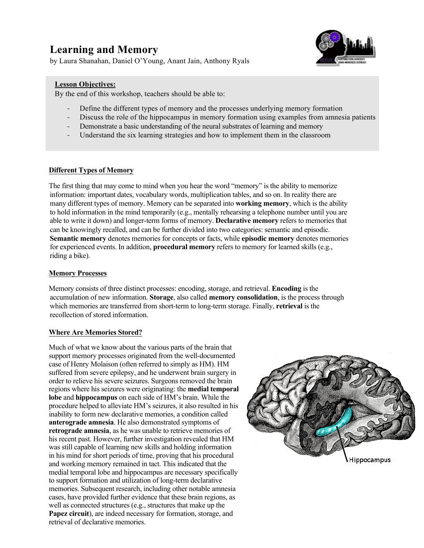# **Learning and Memory**

by Laura Shanahan, Daniel O'Young, Anant Jain, Anthony Ryals



#### **Lesson Objectives:**

By the end of this workshop, teachers should be able to:

- Define the different types of memory and the processes underlying memory formation
- Discuss the role of the hippocampus in memory formation using examples from amnesia patients
- Demonstrate a basic understanding of the neural substrates of learning and memory
- Understand the six learning strategies and how to implement them in the classroom

#### **Different Types of Memory**

The first thing that may come to mind when you hear the word "memory" is the ability to memorize information: important dates, vocabulary words, multiplication tables, and so on. In reality there are many different types of memory. Memory can be separated into **working memory**, which is the ability to hold information in the mind temporarily (e.g., mentally rehearsing a telephone number until you are able to write it down) and longer-term forms of memory. **Declarative memory** refers to memories that can be knowingly recalled, and can be further divided into two categories: semantic and episodic. **Semantic memory** denotes memories for concepts or facts, while **episodic memory** denotes memories for experienced events. In addition, **procedural memory** refers to memory for learned skills (e.g., riding a bike).

#### **Memory Processes**

Memory consists of three distinct processes: encoding, storage, and retrieval. **Encoding** is the accumulation of new information. **Storage**, also called **memory consolidation**, is the process through which memories are transferred from short-term to long-term storage. Finally, **retrieval** is the recollection of stored information.

#### **Where Are Memories Stored?**

Much of what we know about the various parts of the brain that support memory processes originated from the well-documented case of Henry Molaison (often referred to simply as HM). HM suffered from severe epilepsy, and he underwent brain surgery in order to relieve his severe seizures. Surgeons removed the brain regions where his seizures were originating: the **medial temporal lobe** and **hippocampus** on each side of HM's brain. While the procedure helped to alleviate HM's seizures, it also resulted in his inability to form new declarative memories, a condition called **anterograde amnesia**. He also demonstrated symptoms of **retrograde amnesia**, as he was unable to retrieve memories of his recent past. However, further investigation revealed that HM was still capable of learning new skills and holding information in his mind for short periods of time, proving that his procedural and working memory remained in tact. This indicated that the medial temporal lobe and hippocampus are necessary specifically to support formation and utilization of long-term declarative memories. Subsequent research, including other notable amnesia cases, have provided further evidence that these brain regions, as well as connected structures (e.g., structures that make up the **Papez circuit**), are indeed necessary for formation, storage, and retrieval of declarative memories.

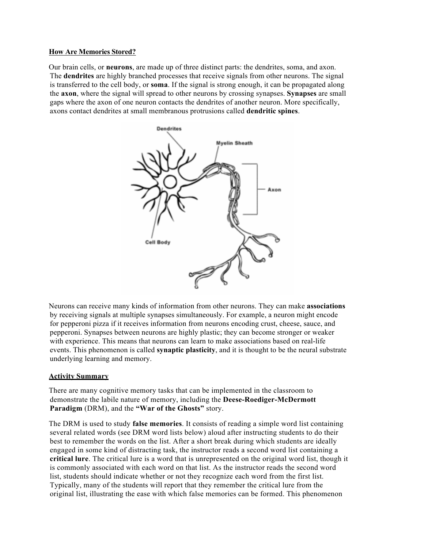#### **How Are Memories Stored?**

Our brain cells, or **neurons**, are made up of three distinct parts: the dendrites, soma, and axon. The **dendrites** are highly branched processes that receive signals from other neurons. The signal is transferred to the cell body, or **soma**. If the signal is strong enough, it can be propagated along the **axon**, where the signal will spread to other neurons by crossing synapses. **Synapses** are small gaps where the axon of one neuron contacts the dendrites of another neuron. More specifically, axons contact dendrites at small membranous protrusions called **dendritic spines**.



Neurons can receive many kinds of information from other neurons. They can make **associations** by receiving signals at multiple synapses simultaneously. For example, a neuron might encode for pepperoni pizza if it receives information from neurons encoding crust, cheese, sauce, and pepperoni. Synapses between neurons are highly plastic; they can become stronger or weaker with experience. This means that neurons can learn to make associations based on real-life events. This phenomenon is called **synaptic plasticity**, and it is thought to be the neural substrate underlying learning and memory.

#### **Activity Summary**

There are many cognitive memory tasks that can be implemented in the classroom to demonstrate the labile nature of memory, including the **Deese-Roediger-McDermott Paradigm** (DRM), and the **"War of the Ghosts"** story.

The DRM is used to study **false memories**. It consists of reading a simple word list containing several related words (see DRM word lists below) aloud after instructing students to do their best to remember the words on the list. After a short break during which students are ideally engaged in some kind of distracting task, the instructor reads a second word list containing a **critical lure**. The critical lure is a word that is unrepresented on the original word list, though it is commonly associated with each word on that list. As the instructor reads the second word list, students should indicate whether or not they recognize each word from the first list. Typically, many of the students will report that they remember the critical lure from the original list, illustrating the ease with which false memories can be formed. This phenomenon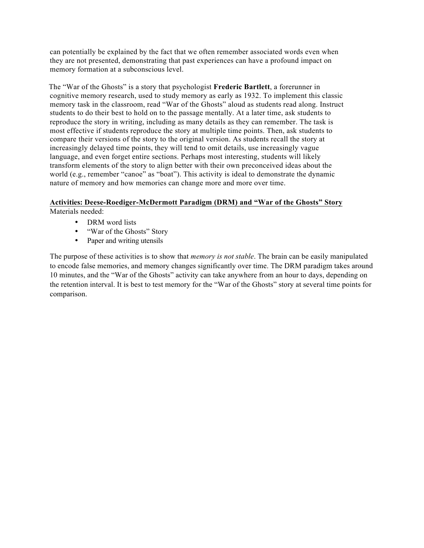can potentially be explained by the fact that we often remember associated words even when they are not presented, demonstrating that past experiences can have a profound impact on memory formation at a subconscious level.

The "War of the Ghosts" is a story that psychologist **Frederic Bartlett**, a forerunner in cognitive memory research, used to study memory as early as 1932. To implement this classic memory task in the classroom, read "War of the Ghosts" aloud as students read along. Instruct students to do their best to hold on to the passage mentally. At a later time, ask students to reproduce the story in writing, including as many details as they can remember. The task is most effective if students reproduce the story at multiple time points. Then, ask students to compare their versions of the story to the original version. As students recall the story at increasingly delayed time points, they will tend to omit details, use increasingly vague language, and even forget entire sections. Perhaps most interesting, students will likely transform elements of the story to align better with their own preconceived ideas about the world (e.g., remember "canoe" as "boat"). This activity is ideal to demonstrate the dynamic nature of memory and how memories can change more and more over time.

# **Activities: Deese-Roediger-McDermott Paradigm (DRM) and "War of the Ghosts" Story**

Materials needed:

- DRM word lists
- "War of the Ghosts" Story
- Paper and writing utensils

The purpose of these activities is to show that *memory is not stable*. The brain can be easily manipulated to encode false memories, and memory changes significantly over time. The DRM paradigm takes around 10 minutes, and the "War of the Ghosts" activity can take anywhere from an hour to days, depending on the retention interval. It is best to test memory for the "War of the Ghosts" story at several time points for comparison.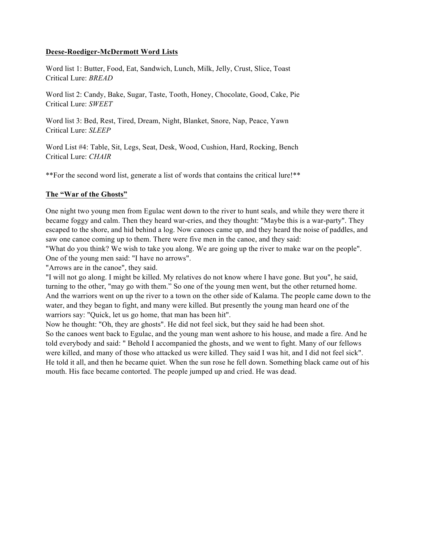## **Deese-Roediger-McDermott Word Lists**

Word list 1: Butter, Food, Eat, Sandwich, Lunch, Milk, Jelly, Crust, Slice, Toast Critical Lure: *BREAD*

Word list 2: Candy, Bake, Sugar, Taste, Tooth, Honey, Chocolate, Good, Cake, Pie Critical Lure: *SWEET*

Word list 3: Bed, Rest, Tired, Dream, Night, Blanket, Snore, Nap, Peace, Yawn Critical Lure: *SLEEP*

Word List #4: Table, Sit, Legs, Seat, Desk, Wood, Cushion, Hard, Rocking, Bench Critical Lure: *CHAIR*

\*\*For the second word list, generate a list of words that contains the critical lure!\*\*

## **The "War of the Ghosts"**

One night two young men from Egulac went down to the river to hunt seals, and while they were there it became foggy and calm. Then they heard war-cries, and they thought: "Maybe this is a war-party". They escaped to the shore, and hid behind a log. Now canoes came up, and they heard the noise of paddles, and saw one canoe coming up to them. There were five men in the canoe, and they said:

"What do you think? We wish to take you along. We are going up the river to make war on the people". One of the young men said: "I have no arrows".

"Arrows are in the canoe", they said.

"I will not go along. I might be killed. My relatives do not know where I have gone. But you", he said, turning to the other, "may go with them." So one of the young men went, but the other returned home. And the warriors went on up the river to a town on the other side of Kalama. The people came down to the water, and they began to fight, and many were killed. But presently the young man heard one of the warriors say: "Quick, let us go home, that man has been hit".

Now he thought: "Oh, they are ghosts". He did not feel sick, but they said he had been shot. So the canoes went back to Egulac, and the young man went ashore to his house, and made a fire. And he told everybody and said: " Behold I accompanied the ghosts, and we went to fight. Many of our fellows were killed, and many of those who attacked us were killed. They said I was hit, and I did not feel sick". He told it all, and then he became quiet. When the sun rose he fell down. Something black came out of his mouth. His face became contorted. The people jumped up and cried. He was dead.